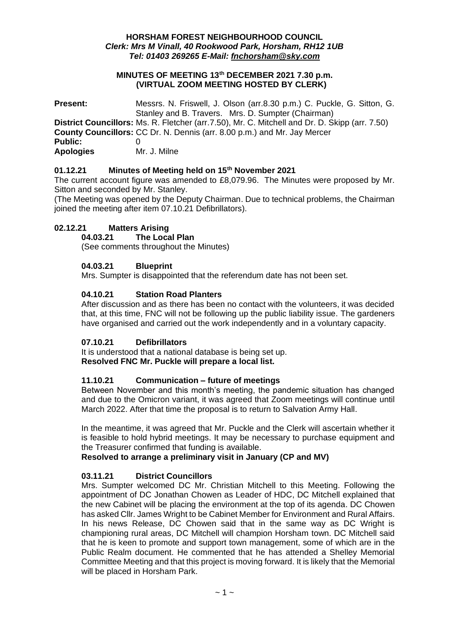#### **HORSHAM FOREST NEIGHBOURHOOD COUNCIL** *Clerk: Mrs M Vinall, 40 Rookwood Park, Horsham, RH12 1UB Tel: 01403 269265 E-Mail: [fnchorsham@sky.com](about:blank)*

#### **MINUTES OF MEETING 13th DECEMBER 2021 7.30 p.m. (VIRTUAL ZOOM MEETING HOSTED BY CLERK)**

| <b>Present:</b>                    | Messrs. N. Friswell, J. Olson (arr.8.30 p.m.) C. Puckle, G. Sitton, G.<br>Stanley and B. Travers. Mrs. D. Sumpter (Chairman)                                               |
|------------------------------------|----------------------------------------------------------------------------------------------------------------------------------------------------------------------------|
|                                    | District Councillors: Ms. R. Fletcher (arr.7.50), Mr. C. Mitchell and Dr. D. Skipp (arr. 7.50)<br>County Councillors: CC Dr. N. Dennis (arr. 8.00 p.m.) and Mr. Jay Mercer |
| <b>Public:</b><br><b>Apologies</b> | Mr. J. Milne                                                                                                                                                               |

# **01.12.21 Minutes of Meeting held on 15th November 2021**

The current account figure was amended to £8,079.96. The Minutes were proposed by Mr. Sitton and seconded by Mr. Stanley.

(The Meeting was opened by the Deputy Chairman. Due to technical problems, the Chairman joined the meeting after item 07.10.21 Defibrillators).

# **02.12.21 Matters Arising**

# **04.03.21 The Local Plan**

(See comments throughout the Minutes)

## **04.03.21 Blueprint**

Mrs. Sumpter is disappointed that the referendum date has not been set.

# **04.10.21 Station Road Planters**

After discussion and as there has been no contact with the volunteers, it was decided that, at this time, FNC will not be following up the public liability issue. The gardeners have organised and carried out the work independently and in a voluntary capacity.

## **07.10.21 Defibrillators**

It is understood that a national database is being set up. **Resolved FNC Mr. Puckle will prepare a local list.**

## **11.10.21 Communication – future of meetings**

Between November and this month's meeting, the pandemic situation has changed and due to the Omicron variant, it was agreed that Zoom meetings will continue until March 2022. After that time the proposal is to return to Salvation Army Hall.

In the meantime, it was agreed that Mr. Puckle and the Clerk will ascertain whether it is feasible to hold hybrid meetings. It may be necessary to purchase equipment and the Treasurer confirmed that funding is available.

## **Resolved to arrange a preliminary visit in January (CP and MV)**

## **03.11.21 District Councillors**

Mrs. Sumpter welcomed DC Mr. Christian Mitchell to this Meeting. Following the appointment of DC Jonathan Chowen as Leader of HDC, DC Mitchell explained that the new Cabinet will be placing the environment at the top of its agenda. DC Chowen has asked Cllr. James Wright to be Cabinet Member for Environment and Rural Affairs. In his news Release, DC Chowen said that in the same way as DC Wright is championing rural areas, DC Mitchell will champion Horsham town. DC Mitchell said that he is keen to promote and support town management, some of which are in the Public Realm document. He commented that he has attended a Shelley Memorial Committee Meeting and that this project is moving forward. It is likely that the Memorial will be placed in Horsham Park.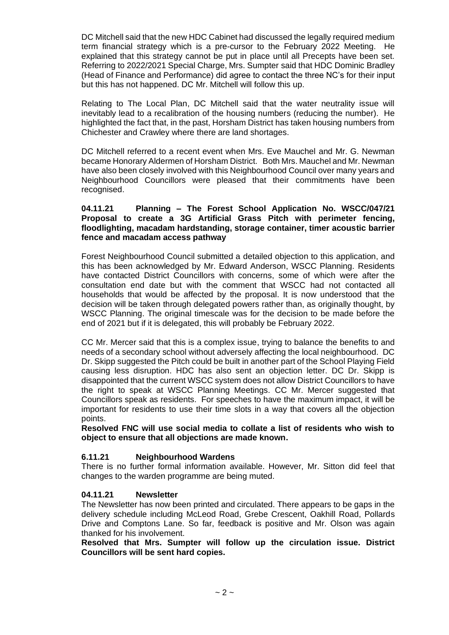DC Mitchell said that the new HDC Cabinet had discussed the legally required medium term financial strategy which is a pre-cursor to the February 2022 Meeting. He explained that this strategy cannot be put in place until all Precepts have been set. Referring to 2022/2021 Special Charge, Mrs. Sumpter said that HDC Dominic Bradley (Head of Finance and Performance) did agree to contact the three NC's for their input but this has not happened. DC Mr. Mitchell will follow this up.

Relating to The Local Plan, DC Mitchell said that the water neutrality issue will inevitably lead to a recalibration of the housing numbers (reducing the number). He highlighted the fact that, in the past, Horsham District has taken housing numbers from Chichester and Crawley where there are land shortages.

DC Mitchell referred to a recent event when Mrs. Eve Mauchel and Mr. G. Newman became Honorary Aldermen of Horsham District. Both Mrs. Mauchel and Mr. Newman have also been closely involved with this Neighbourhood Council over many years and Neighbourhood Councillors were pleased that their commitments have been recognised.

#### **04.11.21 Planning – The Forest School Application No. WSCC/047/21 Proposal to create a 3G Artificial Grass Pitch with perimeter fencing, floodlighting, macadam hardstanding, storage container, timer acoustic barrier fence and macadam access pathway**

Forest Neighbourhood Council submitted a detailed objection to this application, and this has been acknowledged by Mr. Edward Anderson, WSCC Planning. Residents have contacted District Councillors with concerns, some of which were after the consultation end date but with the comment that WSCC had not contacted all households that would be affected by the proposal. It is now understood that the decision will be taken through delegated powers rather than, as originally thought, by WSCC Planning. The original timescale was for the decision to be made before the end of 2021 but if it is delegated, this will probably be February 2022.

CC Mr. Mercer said that this is a complex issue, trying to balance the benefits to and needs of a secondary school without adversely affecting the local neighbourhood. DC Dr. Skipp suggested the Pitch could be built in another part of the School Playing Field causing less disruption. HDC has also sent an objection letter. DC Dr. Skipp is disappointed that the current WSCC system does not allow District Councillors to have the right to speak at WSCC Planning Meetings. CC Mr. Mercer suggested that Councillors speak as residents. For speeches to have the maximum impact, it will be important for residents to use their time slots in a way that covers all the objection points.

**Resolved FNC will use social media to collate a list of residents who wish to object to ensure that all objections are made known.**

# **6.11.21 Neighbourhood Wardens**

There is no further formal information available. However, Mr. Sitton did feel that changes to the warden programme are being muted.

## **04.11.21 Newsletter**

The Newsletter has now been printed and circulated. There appears to be gaps in the delivery schedule including McLeod Road, Grebe Crescent, Oakhill Road, Pollards Drive and Comptons Lane. So far, feedback is positive and Mr. Olson was again thanked for his involvement.

**Resolved that Mrs. Sumpter will follow up the circulation issue. District Councillors will be sent hard copies.**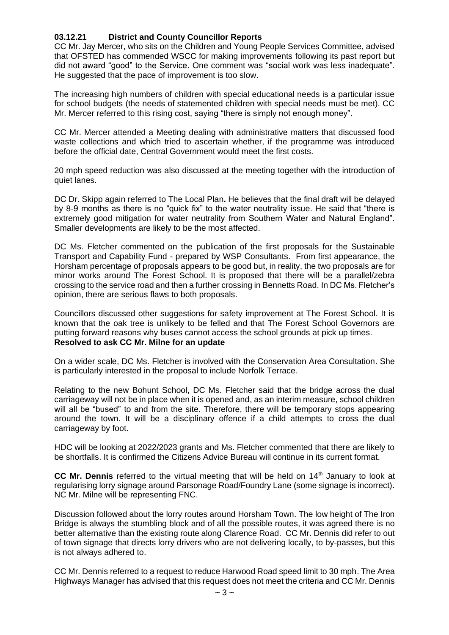# **03.12.21 District and County Councillor Reports**

CC Mr. Jay Mercer, who sits on the Children and Young People Services Committee, advised that OFSTED has commended WSCC for making improvements following its past report but did not award "good" to the Service. One comment was "social work was less inadequate". He suggested that the pace of improvement is too slow.

The increasing high numbers of children with special educational needs is a particular issue for school budgets (the needs of statemented children with special needs must be met). CC Mr. Mercer referred to this rising cost, saying "there is simply not enough money".

CC Mr. Mercer attended a Meeting dealing with administrative matters that discussed food waste collections and which tried to ascertain whether, if the programme was introduced before the official date, Central Government would meet the first costs.

20 mph speed reduction was also discussed at the meeting together with the introduction of quiet lanes.

DC Dr. Skipp again referred to The Local Plan**.** He believes that the final draft will be delayed by 8-9 months as there is no "quick fix" to the water neutrality issue. He said that "there is extremely good mitigation for water neutrality from Southern Water and Natural England". Smaller developments are likely to be the most affected.

DC Ms. Fletcher commented on the publication of the first proposals for the Sustainable Transport and Capability Fund - prepared by WSP Consultants. From first appearance, the Horsham percentage of proposals appears to be good but, in reality, the two proposals are for minor works around The Forest School. It is proposed that there will be a parallel/zebra crossing to the service road and then a further crossing in Bennetts Road. In DC Ms. Fletcher's opinion, there are serious flaws to both proposals.

Councillors discussed other suggestions for safety improvement at The Forest School. It is known that the oak tree is unlikely to be felled and that The Forest School Governors are putting forward reasons why buses cannot access the school grounds at pick up times. **Resolved to ask CC Mr. Milne for an update**

On a wider scale, DC Ms. Fletcher is involved with the Conservation Area Consultation. She is particularly interested in the proposal to include Norfolk Terrace.

Relating to the new Bohunt School, DC Ms. Fletcher said that the bridge across the dual carriageway will not be in place when it is opened and, as an interim measure, school children will all be "bused" to and from the site. Therefore, there will be temporary stops appearing around the town. It will be a disciplinary offence if a child attempts to cross the dual carriageway by foot.

HDC will be looking at 2022/2023 grants and Ms. Fletcher commented that there are likely to be shortfalls. It is confirmed the Citizens Advice Bureau will continue in its current format.

**CC Mr. Dennis** referred to the virtual meeting that will be held on 14<sup>th</sup> January to look at regularising lorry signage around Parsonage Road/Foundry Lane (some signage is incorrect). NC Mr. Milne will be representing FNC.

Discussion followed about the lorry routes around Horsham Town. The low height of The Iron Bridge is always the stumbling block and of all the possible routes, it was agreed there is no better alternative than the existing route along Clarence Road. CC Mr. Dennis did refer to out of town signage that directs lorry drivers who are not delivering locally, to by-passes, but this is not always adhered to.

CC Mr. Dennis referred to a request to reduce Harwood Road speed limit to 30 mph. The Area Highways Manager has advised that this request does not meet the criteria and CC Mr. Dennis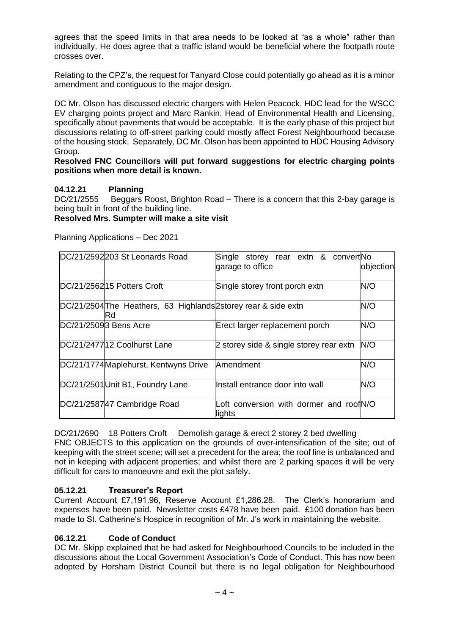agrees that the speed limits in that area needs to be looked at "as a whole" rather than individually. He does agree that a traffic island would be beneficial where the footpath route crosses over.

Relating to the CPZ's, the request for Tanyard Close could potentially go ahead as it is a minor amendment and contiguous to the major design.

DC Mr. Olson has discussed electric chargers with Helen Peacock, HDC lead for the WSCC EV charging points project and Marc Rankin, Head of Environmental Health and Licensing, specifically about pavements that would be acceptable. It is the early phase of this project but discussions relating to off-street parking could mostly affect Forest Neighbourhood because of the housing stock. Separately, DC Mr. Olson has been appointed to HDC Housing Advisory Group.

#### **Resolved FNC Councillors will put forward suggestions for electric charging points positions when more detail is known.**

# **04.12.21 Planning**

DC/21/2555 Beggars Roost, Brighton Road – There is a concern that this 2-bay garage is being built in front of the building line.

#### **Resolved Mrs. Sumpter will make a site visit**

Planning Applications – Dec 2021

| DC/21/2592203 St Leonards Road                                        | Single storey rear extn & convert No<br>garage to office | objection |
|-----------------------------------------------------------------------|----------------------------------------------------------|-----------|
| DC/21/256215 Potters Croft                                            | Single storey front porch extn                           | N/O       |
| DC/21/2504 The Heathers, 63 Highlands 2storey rear & side extn<br>IRd |                                                          | N/O       |
| DC/21/25093 Bens Acre                                                 | Erect larger replacement porch                           | N/O       |
| DC/21/247712 Coolhurst Lane                                           | 2 storey side & single storey rear extn                  | N/O       |
| DC/21/1774 Maplehurst, Kentwyns Drive                                 | Amendment                                                | N/O       |
| DC/21/2501 Unit B1, Foundry Lane                                      | Install entrance door into wall                          | N/O       |
| DC/21/258747 Cambridge Road                                           | Loft conversion with dormer and roofN/O<br>lights        |           |

DC/21/2690 18 Potters Croft Demolish garage & erect 2 storey 2 bed dwelling FNC OBJECTS to this application on the grounds of over-intensification of the site; out of keeping with the street scene; will set a precedent for the area; the roof line is unbalanced and not in keeping with adjacent properties; and whilst there are 2 parking spaces it will be very difficult for cars to manoeuvre and exit the plot safely.

## **05.12.21 Treasurer's Report**

Current Account £7,191.96, Reserve Account £1,286.28. The Clerk's honorarium and expenses have been paid. Newsletter costs £478 have been paid. £100 donation has been made to St. Catherine's Hospice in recognition of Mr. J's work in maintaining the website.

## **06.12.21 Code of Conduct**

DC Mr. Skipp explained that he had asked for Neighbourhood Councils to be included in the discussions about the Local Government Association's Code of Conduct. This has now been adopted by Horsham District Council but there is no legal obligation for Neighbourhood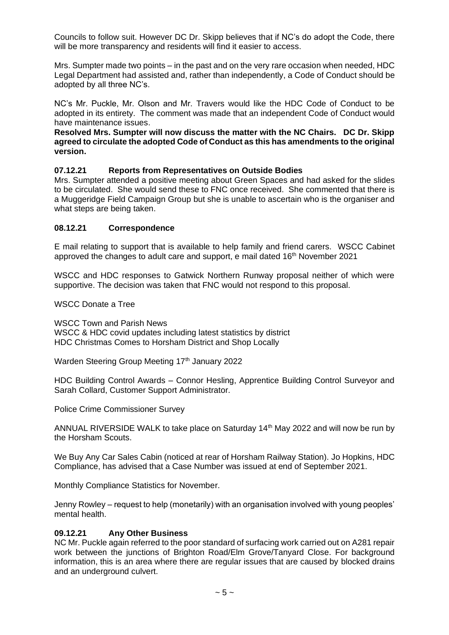Councils to follow suit. However DC Dr. Skipp believes that if NC's do adopt the Code, there will be more transparency and residents will find it easier to access.

Mrs. Sumpter made two points – in the past and on the very rare occasion when needed, HDC Legal Department had assisted and, rather than independently, a Code of Conduct should be adopted by all three NC's.

NC's Mr. Puckle, Mr. Olson and Mr. Travers would like the HDC Code of Conduct to be adopted in its entirety. The comment was made that an independent Code of Conduct would have maintenance issues.

#### **Resolved Mrs. Sumpter will now discuss the matter with the NC Chairs. DC Dr. Skipp agreed to circulate the adopted Code of Conduct as this has amendments to the original version.**

## **07.12.21 Reports from Representatives on Outside Bodies**

Mrs. Sumpter attended a positive meeting about Green Spaces and had asked for the slides to be circulated. She would send these to FNC once received. She commented that there is a Muggeridge Field Campaign Group but she is unable to ascertain who is the organiser and what steps are being taken.

## **08.12.21 Correspondence**

E mail relating to support that is available to help family and friend carers. WSCC Cabinet approved the changes to adult care and support, e mail dated  $16<sup>th</sup>$  November 2021

WSCC and HDC responses to Gatwick Northern Runway proposal neither of which were supportive. The decision was taken that FNC would not respond to this proposal.

WSCC Donate a Tree

WSCC Town and Parish News WSCC & HDC covid updates including latest statistics by district HDC Christmas Comes to Horsham District and Shop Locally

Warden Steering Group Meeting 17th January 2022

HDC Building Control Awards – Connor Hesling, Apprentice Building Control Surveyor and Sarah Collard, Customer Support Administrator.

Police Crime Commissioner Survey

ANNUAL RIVERSIDE WALK to take place on Saturday  $14<sup>th</sup>$  May 2022 and will now be run by the Horsham Scouts.

We Buy Any Car Sales Cabin (noticed at rear of Horsham Railway Station). Jo Hopkins, HDC Compliance, has advised that a Case Number was issued at end of September 2021.

Monthly Compliance Statistics for November.

Jenny Rowley – request to help (monetarily) with an organisation involved with young peoples' mental health.

## **09.12.21 Any Other Business**

NC Mr. Puckle again referred to the poor standard of surfacing work carried out on A281 repair work between the junctions of Brighton Road/Elm Grove/Tanyard Close. For background information, this is an area where there are regular issues that are caused by blocked drains and an underground culvert.